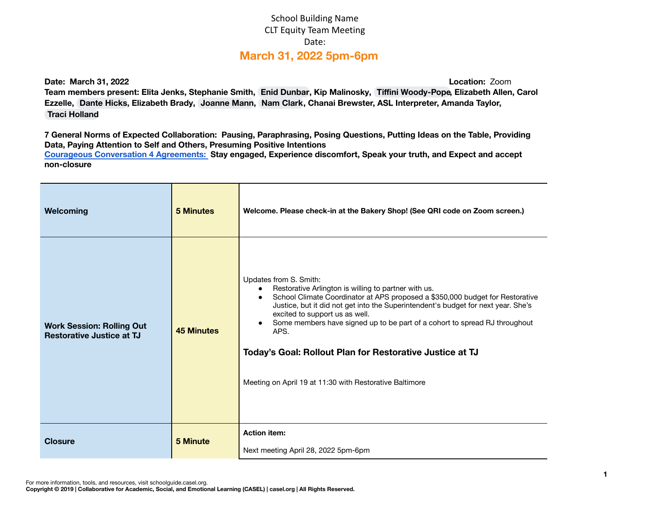## School Building Name CLT Equity Team Meeting Date: **March 31, 2022 5pm-6pm**

**Date: March 31, 2022 Location:** Zoom

Team members present: Elita Jenks, Stephanie Smith, Enid [Dunbar,](mailto:enid.dunbar@apsva.us) Kip Malinosky, Tiffini [Woody-Pope](mailto:tiffini.woodypope@apsva.us), Elizabeth Allen, Carol **Ezzelle, [Dante](mailto:dante.hicks@apsva.us) Hicks, Elizabeth Brady, [Joanne](mailto:joanne.mann@apsva.us) Mann, Nam [Clark,](mailto:nam.clark2@apsva.us) Chanai Brewster, ASL Interpreter, Amanda Taylor, Traci [Holland](mailto:traci.holland@apsva.us)**

7 General Norms of Expected Collaboration: Pausing, Paraphrasing, Posing Questions, Putting Ideas on the Table, Providing **Data, Paying Attention to Self and Others, Presuming Positive Intentions Courageous [Conversation](https://iel.org/sites/default/files/G10-courageous-conversation-protocol-overview.pdf) 4 Agreements: Stay engaged, Experience discomfort, Speak your truth, and Expect and accept non-closure**

| Welcoming                                                            | <b>5 Minutes</b>  | Welcome. Please check-in at the Bakery Shop! (See QRI code on Zoom screen.)                                                                                                                                                                                                                                                                                                                                                                                                                                      |  |  |
|----------------------------------------------------------------------|-------------------|------------------------------------------------------------------------------------------------------------------------------------------------------------------------------------------------------------------------------------------------------------------------------------------------------------------------------------------------------------------------------------------------------------------------------------------------------------------------------------------------------------------|--|--|
| <b>Work Session: Rolling Out</b><br><b>Restorative Justice at TJ</b> | <b>45 Minutes</b> | Updates from S. Smith:<br>Restorative Arlington is willing to partner with us.<br>School Climate Coordinator at APS proposed a \$350,000 budget for Restorative<br>$\bullet$<br>Justice, but it did not get into the Superintendent's budget for next year. She's<br>excited to support us as well.<br>Some members have signed up to be part of a cohort to spread RJ throughout<br>APS.<br>Today's Goal: Rollout Plan for Restorative Justice at TJ<br>Meeting on April 19 at 11:30 with Restorative Baltimore |  |  |
| <b>Closure</b>                                                       | <b>5 Minute</b>   | <b>Action item:</b><br>Next meeting April 28, 2022 5pm-6pm                                                                                                                                                                                                                                                                                                                                                                                                                                                       |  |  |